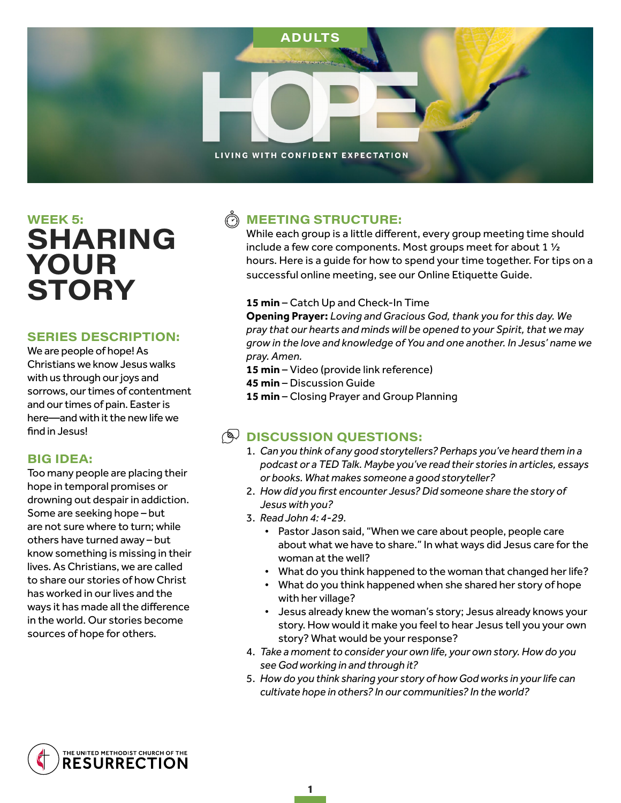

# **WEEK 5: SHARING** YOUR **STORY**

### **SERIES DESCRIPTION:**

We are people of hope! As Christians we know Jesus walks with us through our joys and sorrows, our times of contentment and our times of pain. Easter is here—and with it the new life we find in Jesus!

### **BIG IDEA:**

Too many people are placing their hope in temporal promises or drowning out despair in addiction. Some are seeking hope – but are not sure where to turn; while others have turned away – but know something is missing in their lives. As Christians, we are called to share our stories of how Christ has worked in our lives and the ways it has made all the difference in the world. Our stories become sources of hope for others.

## **MEETING STRUCTURE:**

While each group is a little different, every group meeting time should include a few core components. Most groups meet for about 1 ½ hours. Here is a guide for how to spend your time together. For tips on a successful online meeting, see our Online Etiquette Guide.

#### **15 min** – Catch Up and Check-In Time

**Opening Prayer:** *Loving and Gracious God, thank you for this day. We pray that our hearts and minds will be opened to your Spirit, that we may grow in the love and knowledge of You and one another. In Jesus' name we pray. Amen.* 

- **15 min** Video (provide link reference)
- **45 min** Discussion Guide
- **15 min** Closing Prayer and Group Planning

## $\mathbb{Q}$  DISCUSSION QUESTIONS:

- 1. *Can you think of any good storytellers? Perhaps you've heard them in a podcast or a TED Talk. Maybe you've read their stories in articles, essays or books. What makes someone a good storyteller?*
- 2. *How did you first encounter Jesus? Did someone share the story of Jesus with you?*
- 3. *Read John 4: 4-29.*

1

- Pastor Jason said, "When we care about people, people care about what we have to share." In what ways did Jesus care for the woman at the well?
- What do you think happened to the woman that changed her life?
- What do you think happened when she shared her story of hope with her village?
- Jesus already knew the woman's story; Jesus already knows your story. How would it make you feel to hear Jesus tell you your own story? What would be your response?
- 4. *Take a moment to consider your own life, your own story. How do you see God working in and through it?*
- 5. *How do you think sharing your story of how God works in your life can cultivate hope in others? In our communities? In the world?*